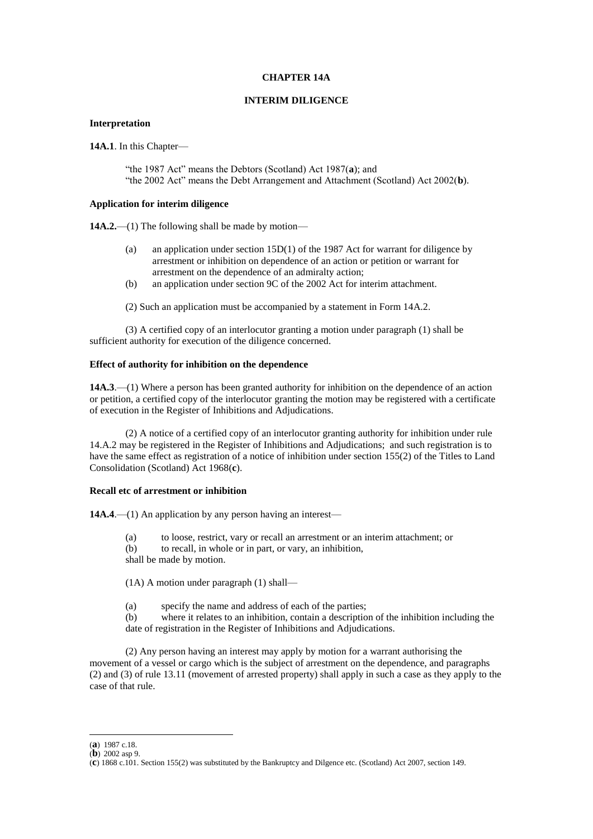## **CHAPTER 14A**

## **INTERIM DILIGENCE**

## **Interpretation**

**14A.1**. In this Chapter—

"the 1987 Act" means the Debtors (Scotland) Act 1987(**a**); and "the 2002 Act" means the Debt Arrangement and Attachment (Scotland) Act 2002(**b**).

# **Application for interim diligence**

**14A.2.**—(1) The following shall be made by motion—

- (a) an application under section 15D(1) of the 1987 Act for warrant for diligence by arrestment or inhibition on dependence of an action or petition or warrant for arrestment on the dependence of an admiralty action;
- (b) an application under section 9C of the 2002 Act for interim attachment.

(2) Such an application must be accompanied by a statement in Form 14A.2.

(3) A certified copy of an interlocutor granting a motion under paragraph (1) shall be sufficient authority for execution of the diligence concerned.

# **Effect of authority for inhibition on the dependence**

**14A.3**.—(1) Where a person has been granted authority for inhibition on the dependence of an action or petition, a certified copy of the interlocutor granting the motion may be registered with a certificate of execution in the Register of Inhibitions and Adjudications.

(2) A notice of a certified copy of an interlocutor granting authority for inhibition under rule 14.A.2 may be registered in the Register of Inhibitions and Adjudications; and such registration is to have the same effect as registration of a notice of inhibition under section 155(2) of the Titles to Land Consolidation (Scotland) Act 1968(**c**).

## **Recall etc of arrestment or inhibition**

**14A.4.—(1)** An application by any person having an interest—

- (a) to loose, restrict, vary or recall an arrestment or an interim attachment; or
- (b) to recall, in whole or in part, or vary, an inhibition,

shall be made by motion.

(1A) A motion under paragraph (1) shall—

(a) specify the name and address of each of the parties;

(b) where it relates to an inhibition, contain a description of the inhibition including the date of registration in the Register of Inhibitions and Adjudications.

(2) Any person having an interest may apply by motion for a warrant authorising the movement of a vessel or cargo which is the subject of arrestment on the dependence, and paragraphs (2) and (3) of rule 13.11 (movement of arrested property) shall apply in such a case as they apply to the case of that rule.

1

<sup>(</sup>**a**) 1987 c.18.

<sup>(</sup>**b**) 2002 asp 9.

<sup>(</sup>**c**) 1868 c.101. Section 155(2) was substituted by the Bankruptcy and Dilgence etc. (Scotland) Act 2007, section 149.